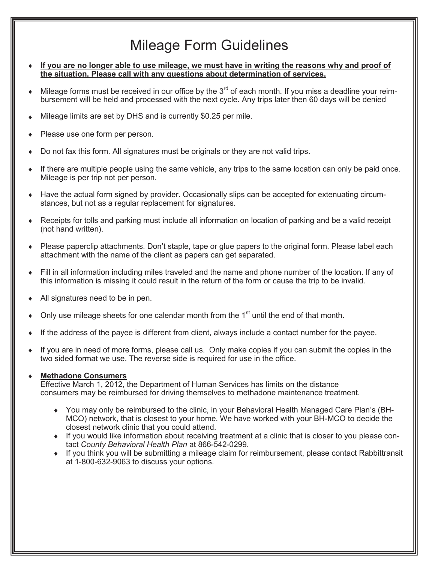# Mileage Form Guidelines

- ® **If you are no longer able to use mileage, we must have in writing the reasons why and proof of the situation. Please call with any questions about determination of services.**
- Mileage forms must be received in our office by the  $3<sup>rd</sup>$  of each month. If you miss a deadline your reimbursement will be held and processed with the next cycle. Any trips later then 60 days will be denied
- Mileage limits are set by DHS and is currently \$0.25 per mile.
- Please use one form per person.
- Do not fax this form. All signatures must be originals or they are not valid trips.
- If there are multiple people using the same vehicle, any trips to the same location can only be paid once. Mileage is per trip not per person.
- Have the actual form signed by provider. Occasionally slips can be accepted for extenuating circumstances, but not as a regular replacement for signatures.
- Receipts for tolls and parking must include all information on location of parking and be a valid receipt (not hand written).
- Please paperclip attachments. Don't staple, tape or glue papers to the original form. Please label each attachment with the name of the client as papers can get separated.
- ® Fill in all information including miles traveled and the name and phone number of the location. If any of this information is missing it could result in the return of the form or cause the trip to be invalid.
- All signatures need to be in pen.
- Only use mileage sheets for one calendar month from the 1<sup>st</sup> until the end of that month.
- If the address of the payee is different from client, always include a contact number for the payee.
- If you are in need of more forms, please call us. Only make copies if you can submit the copies in the two sided format we use. The reverse side is required for use in the office.

#### ® **Methadone Consumers**

Effective March 1, 2012, the Department of Human Services has limits on the distance consumers may be reimbursed for driving themselves to methadone maintenance treatment.

- ® You may only be reimbursed to the clinic, in your Behavioral Health Managed Care Plan's (BH-MCO) network, that is closest to your home. We have worked with your BH-MCO to decide the closest network clinic that you could attend.
- ® If you would like information about receiving treatment at a clinic that is closer to you please contact *County Behavioral Health Plan* at 866-542-0299.
- ® If you think you will be submitting a mileage claim for reimbursement, please contact Rabbittransit at 1-800-632-9063 to discuss your options.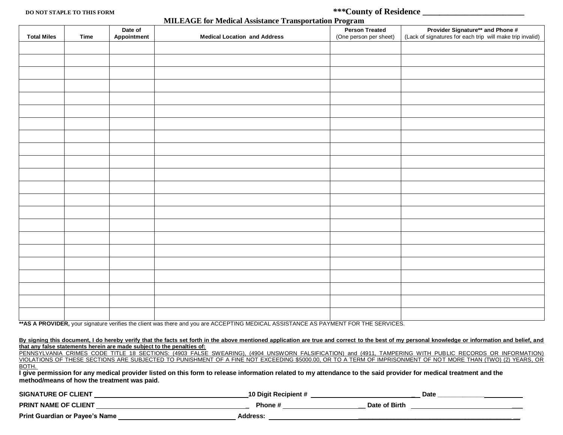**DO NOT STAPLE TO THIS FORM** *\*\*\****County of Residence \_\_\_\_***\_\_\_\_\_\_\_\_\_\_\_\_\_\_\_\_\_\_\_\_*

| <b>MILEAGE for Medical Assistance Transportation Program</b> |  |
|--------------------------------------------------------------|--|
|--------------------------------------------------------------|--|

|                    |      |                                             | <b>MILLEAGE TOF Medical Assistance Transportation Frogram</b>                                                                                                                                                                                                                                                              |                                                 |                                                                                               |
|--------------------|------|---------------------------------------------|----------------------------------------------------------------------------------------------------------------------------------------------------------------------------------------------------------------------------------------------------------------------------------------------------------------------------|-------------------------------------------------|-----------------------------------------------------------------------------------------------|
| <b>Total Miles</b> | Time | Date of<br>Appointment                      | <b>Medical Location and Address</b>                                                                                                                                                                                                                                                                                        | <b>Person Treated</b><br>(One person per sheet) | Provider Signature** and Phone #<br>(Lack of signatures for each trip will make trip invalid) |
|                    |      |                                             |                                                                                                                                                                                                                                                                                                                            |                                                 |                                                                                               |
|                    |      |                                             |                                                                                                                                                                                                                                                                                                                            |                                                 |                                                                                               |
|                    |      |                                             |                                                                                                                                                                                                                                                                                                                            |                                                 |                                                                                               |
|                    |      |                                             |                                                                                                                                                                                                                                                                                                                            |                                                 |                                                                                               |
|                    |      |                                             |                                                                                                                                                                                                                                                                                                                            |                                                 |                                                                                               |
|                    |      |                                             |                                                                                                                                                                                                                                                                                                                            |                                                 |                                                                                               |
|                    |      |                                             |                                                                                                                                                                                                                                                                                                                            |                                                 |                                                                                               |
|                    |      |                                             |                                                                                                                                                                                                                                                                                                                            |                                                 |                                                                                               |
|                    |      |                                             |                                                                                                                                                                                                                                                                                                                            |                                                 |                                                                                               |
|                    |      |                                             |                                                                                                                                                                                                                                                                                                                            |                                                 |                                                                                               |
|                    |      |                                             |                                                                                                                                                                                                                                                                                                                            |                                                 |                                                                                               |
|                    |      |                                             |                                                                                                                                                                                                                                                                                                                            |                                                 |                                                                                               |
|                    |      |                                             |                                                                                                                                                                                                                                                                                                                            |                                                 |                                                                                               |
|                    |      |                                             |                                                                                                                                                                                                                                                                                                                            |                                                 |                                                                                               |
|                    |      |                                             |                                                                                                                                                                                                                                                                                                                            |                                                 |                                                                                               |
|                    |      |                                             |                                                                                                                                                                                                                                                                                                                            |                                                 |                                                                                               |
|                    |      |                                             |                                                                                                                                                                                                                                                                                                                            |                                                 |                                                                                               |
|                    |      |                                             |                                                                                                                                                                                                                                                                                                                            |                                                 |                                                                                               |
|                    |      |                                             |                                                                                                                                                                                                                                                                                                                            |                                                 |                                                                                               |
|                    |      |                                             |                                                                                                                                                                                                                                                                                                                            |                                                 |                                                                                               |
|                    |      |                                             |                                                                                                                                                                                                                                                                                                                            |                                                 |                                                                                               |
|                    |      |                                             | ** AS A PROVIDER, your signature verifies the client was there and you are ACCEPTING MEDICAL ASSISTANCE AS PAYMENT FOR THE SERVICES.                                                                                                                                                                                       |                                                 |                                                                                               |
|                    |      |                                             | By signing this document, I do hereby verify that the facts set forth in the above mentioned application are true and correct to the best of my personal knowledge or information and belief, and<br>that any false statements herein are made subject to the penalties of:                                                |                                                 |                                                                                               |
|                    |      |                                             | PENNSYLVANIA CRIMES CODE TITLE 18 SECTIONS: (4903 FALSE SWEARING). (4904 UNSWORN FALSIFICATION) and (4911. TAMPERING WITH PUBLIC RECORDS OR INFORMATION).<br>VIOLATIONS OF THESE SECTIONS ARE SUBJECTED TO PUNISHMENT OF A FINE NOT EXCEEDING \$5000.00, OR TO A TERM OF IMPRISONMENT OF NOT MORE THAN (TWO) (2) YEARS, OR |                                                 |                                                                                               |
| BOTH.              |      | method/means of how the treatment was paid. | I give permission for any medical provider listed on this form to release information related to my attendance to the said provider for medical treatment and the                                                                                                                                                          |                                                 |                                                                                               |
|                    |      |                                             |                                                                                                                                                                                                                                                                                                                            |                                                 |                                                                                               |
|                    |      |                                             |                                                                                                                                                                                                                                                                                                                            |                                                 |                                                                                               |

| RINT NAME OF CLIENT |  |  |
|---------------------|--|--|
|                     |  |  |

**Print Guardian or Payee's Name Address: \_\_\_\_\_\_\_\_\_\_\_\_\_\_\_\_\_\_\_\_\_\_\_\_\_\_\_\_\_\_\_\_\_\_\_\_\_\_\_\_\_\_\_ \_\_**